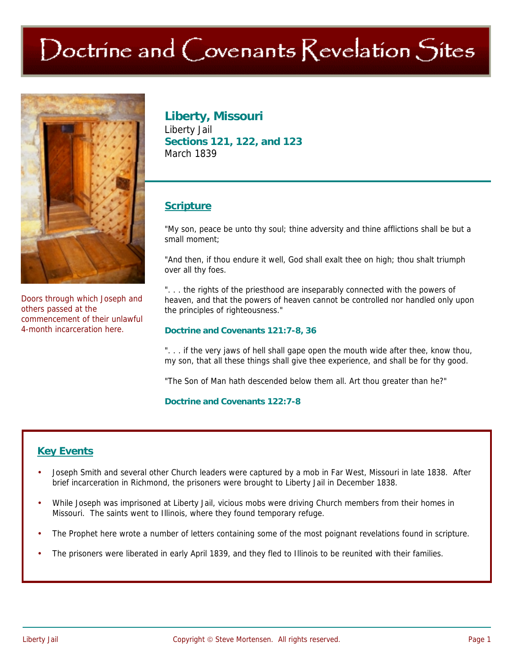# Doctrine and Covenants Revelation Sites



Doors through which Joseph and others passed at the commencement of their unlawful 4-month incarceration here.

# **Liberty, Missouri**

Liberty Jail **Sections 121, 122, and 123**  March 1839

# **Scripture**

"My son, peace be unto thy soul; thine adversity and thine afflictions shall be but a small moment;

"And then, if thou endure it well, God shall exalt thee on high; thou shalt triumph over all thy foes.

"... the rights of the priesthood are inseparably connected with the powers of heaven, and that the powers of heaven cannot be controlled nor handled only upon the principles of righteousness."

#### **Doctrine and Covenants 121:7-8, 36**

". . . if the very jaws of hell shall gape open the mouth wide after thee, know thou, my son, that all these things shall give thee experience, and shall be for thy good.

"The Son of Man hath descended below them all. Art thou greater than he?"

#### **Doctrine and Covenants 122:7-8**

## **Key Events**

- Joseph Smith and several other Church leaders were captured by a mob in Far West, Missouri in late 1838. After brief incarceration in Richmond, the prisoners were brought to Liberty Jail in December 1838.
- While Joseph was imprisoned at Liberty Jail, vicious mobs were driving Church members from their homes in Missouri. The saints went to Illinois, where they found temporary refuge.
- The Prophet here wrote a number of letters containing some of the most poignant revelations found in scripture.
- The prisoners were liberated in early April 1839, and they fled to Illinois to be reunited with their families.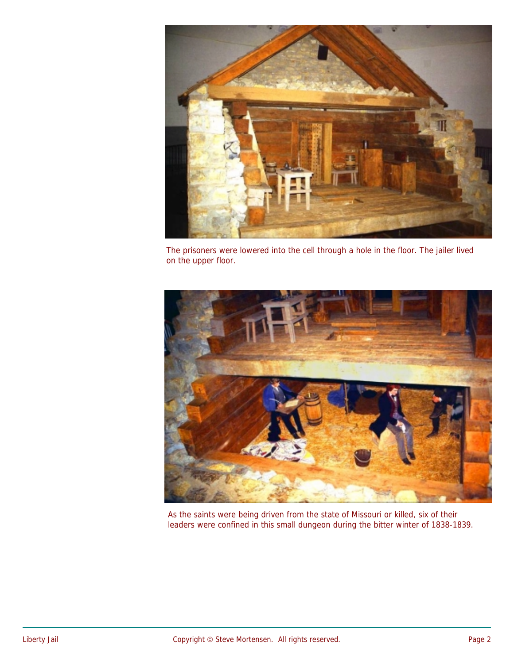

The prisoners were lowered into the cell through a hole in the floor. The jailer lived on the upper floor.



As the saints were being driven from the state of Missouri or killed, six of their leaders were confined in this small dungeon during the bitter winter of 1838-1839.